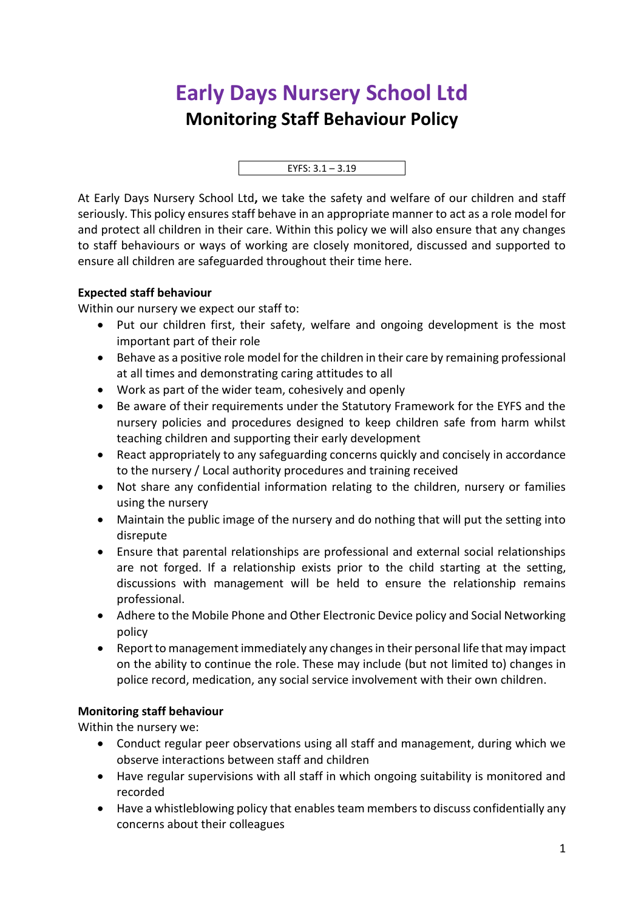## **Early Days Nursery School Ltd Monitoring Staff Behaviour Policy**



At Early Days Nursery School Ltd**,** we take the safety and welfare of our children and staff seriously. This policy ensures staff behave in an appropriate manner to act as a role model for and protect all children in their care. Within this policy we will also ensure that any changes to staff behaviours or ways of working are closely monitored, discussed and supported to ensure all children are safeguarded throughout their time here.

## **Expected staff behaviour**

Within our nursery we expect our staff to:

- Put our children first, their safety, welfare and ongoing development is the most important part of their role
- Behave as a positive role model for the children in their care by remaining professional at all times and demonstrating caring attitudes to all
- Work as part of the wider team, cohesively and openly
- Be aware of their requirements under the Statutory Framework for the EYFS and the nursery policies and procedures designed to keep children safe from harm whilst teaching children and supporting their early development
- React appropriately to any safeguarding concerns quickly and concisely in accordance to the nursery / Local authority procedures and training received
- Not share any confidential information relating to the children, nursery or families using the nursery
- Maintain the public image of the nursery and do nothing that will put the setting into disrepute
- Ensure that parental relationships are professional and external social relationships are not forged. If a relationship exists prior to the child starting at the setting, discussions with management will be held to ensure the relationship remains professional.
- Adhere to the Mobile Phone and Other Electronic Device policy and Social Networking policy
- Report to management immediately any changes in their personal life that may impact on the ability to continue the role. These may include (but not limited to) changes in police record, medication, any social service involvement with their own children.

## **Monitoring staff behaviour**

Within the nursery we:

- Conduct regular peer observations using all staff and management, during which we observe interactions between staff and children
- Have regular supervisions with all staff in which ongoing suitability is monitored and recorded
- Have a whistleblowing policy that enables team members to discuss confidentially any concerns about their colleagues